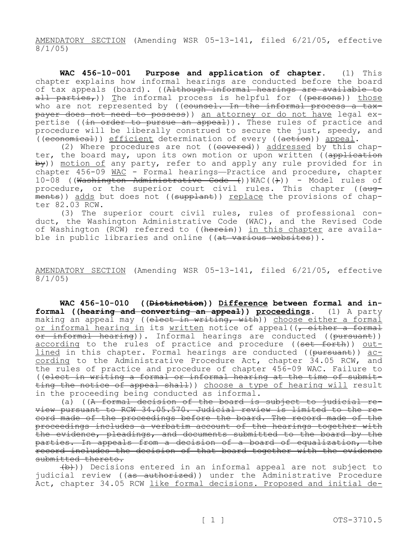AMENDATORY SECTION (Amending WSR 05-13-141, filed 6/21/05, effective 8/1/05)

**WAC 456-10-001 Purpose and application of chapter.** (1) This chapter explains how informal hearings are conducted before the board of tax appeals (board). ((Although informal hearings are available to all parties,)) The informal process is helpful for ((persons)) those who are not represented by  $($  (counsel. In the informal process a taxpayer does not need to possess)) an attorney or do not have legal expertise ((in order to pursue an appeal)). These rules of practice and procedure will be liberally construed to secure the just, speedy, and  $($ (economical)) efficient determination of every ( $(a$ ction)) appeal.

(2) Where procedures are not  $((\text{covered}))$  addressed by this chapter, the board may, upon its own motion or upon written (application  $by$ )) motion of any party, refer to and apply any rule provided for in chapter 456-09 WAC - Formal hearings—Practice and procedure, chapter 10-08 ((Washington Administrative Code  $()$ )WAC( $()$ )) - Model rules of procedure, or the superior court civil rules. This chapter ((augments)) adds but does not ((supplant)) replace the provisions of chapter 82.03 RCW.

(3) The superior court civil rules, rules of professional conduct, the Washington Administrative Code (WAC), and the Revised Code of Washington (RCW) referred to ((herein)) in this chapter are available in public libraries and online ((at various websites)).

AMENDATORY SECTION (Amending WSR 05-13-141, filed 6/21/05, effective 8/1/05)

**WAC 456-10-010 ((Distinction)) Difference between formal and informal ((hearing and converting an appeal)) proceedings.** (1) A party making an appeal may ((elect in writing, with)) choose either a formal or informal hearing in its written notice of appeal((, either a formal or informal hearing)). Informal hearings are conducted ((pursuant)) according to the rules of practice and procedure ((set forth)) outlined in this chapter. Formal hearings are conducted ((pursuant)) according to the Administrative Procedure Act, chapter 34.05 RCW, and the rules of practice and procedure of chapter 456-09 WAC. Failure to ((elect in writing a formal or informal hearing at the time of submitting the notice of appeal shall)) choose a type of hearing will result in the proceeding being conducted as informal.

(a)  $((A *formal decision of the board is subject to judicial re-*)$ view pursuant to RCW 34.05.570. Judicial review is limited to the record made of the proceedings before the board. The record made of the proceedings includes a verbatim account of the hearings together with the evidence, pleadings, and documents submitted to the board by the parties. In appeals from a decision of a board of equalization, the record includes the decision of that board together with the evidence submitted thereto.

 $(\overline{b})$ ) Decisions entered in an informal appeal are not subject to judicial review ((<del>as authorized</del>)) under the Administrative Procedure Act, chapter 34.05 RCW <u>like formal decisions. Proposed and initial de-</u>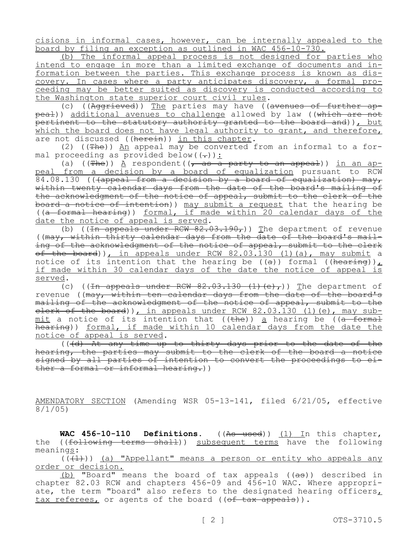cisions in informal cases, however, can be internally appealed to the board by filing an exception as outlined in WAC 456-10-730.

(b) The informal appeal process is not designed for parties who intend to engage in more than a limited exchange of documents and information between the parties. This exchange process is known as discovery. In cases where a party anticipates discovery, a formal proceeding may be better suited as discovery is conducted according to the Washington state superior court civil rules.

(c) ((Aggrieved)) The parties may have ((avenues of further appeal)) additional avenues to challenge allowed by law ((which are not pertinent to the statutory authority granted to the board and)), but which the board does not have legal authority to grant, and therefore, are not discussed ((herein)) in this chapter.

(2) ((The)) An appeal may be converted from an informal to a formal proceeding as provided below( $(-)$ ):

(a)  $((The equation of the function  $f(x)$  is a point of the function  $f(x)$  and  $f(x)$  is a point of the function  $f(x)$  and  $f(x)$ .$ peal from a decision by a board of equalization pursuant to RCW 84.08.130 (((appeal from a decision by a board of equalization) may, within twenty calendar days from the date of the board's mailing of the acknowledgment of the notice of appeal, submit to the clerk of the board a notice of intention)) may submit a request that the hearing be ((a formal hearing)) formal, if made within 20 calendar days of the date the notice of appeal is served.

(b) ((In appeals under RCW  $82.03.190$ ) The department of revenue ((may, within thirty calendar days from the date of the board's mailing of the acknowledgment of the notice of appeal, submit to the clerk of the board)), in appeals under RCW 82.03.130 (1)(a), may submit a notice of its intention that the hearing be  $((a))$  formal  $((hea$ <sub>ring</sub>), if made within 30 calendar days of the date the notice of appeal is served.

(c) ((In appeals under RCW  $82.03.130$  (1)(e),)) The department of revenue ((may, within ten calendar days from the date of the board's mailing of the acknowledgment of the notice of appeal, submit to the elerk of the board)), in appeals under RCW 82.03.130 (1) (e), may sub $mit$  a notice of its intention that ((the)) a hearing be ((a formal hearing)) formal, if made within 10 calendar days from the date the notice of appeal is served.

(((d) At any time up to thirty days prior to the date of the hearing, the parties may submit to the clerk of the board a notice signed by all parties of intention to convert the proceedings to either a formal or informal hearing.))

AMENDATORY SECTION (Amending WSR 05-13-141, filed 6/21/05, effective 8/1/05)

WAC 456-10-110 Definitions. ((As used)) (1) In this chapter, the ((following terms shall)) subsequent terms have the following meanings:

 $((+1))$  (a) "Appellant" means a person or entity who appeals any order or decision.

(b) "Board" means the board of tax appeals  $((a\cdot\theta))$  described in chapter 82.03 RCW and chapters 456-09 and 456-10 WAC. Where appropriate, the term "board" also refers to the designated hearing officers, tax referees, or agents of the board ((of tax appeals)).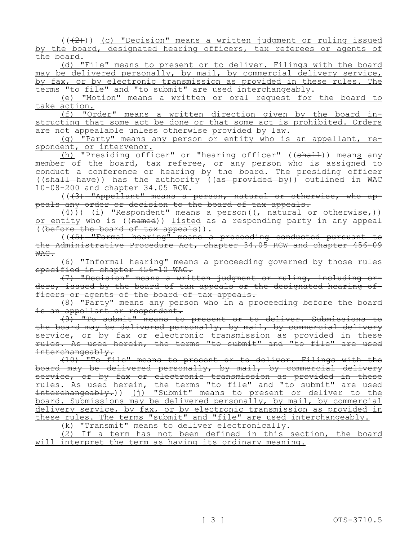$((+2))$  (c) "Decision" means a written judgment or ruling issued by the board, designated hearing officers, tax referees or agents of the board.

(d) "File" means to present or to deliver. Filings with the board may be delivered personally, by mail, by commercial delivery service, by fax, or by electronic transmission as provided in these rules. The terms "to file" and "to submit" are used interchangeably.

(e) "Motion" means a written or oral request for the board to take action.

(f) "Order" means a written direction given by the board instructing that some act be done or that some act is prohibited. Orders are not appealable unless otherwise provided by law.

(g) "Party" means any person or entity who is an appellant, respondent, or intervenor.

(h) "Presiding officer" or "hearing officer" ((shall)) means any member of the board, tax referee, or any person who is assigned to conduct a conference or hearing by the board. The presiding officer ((shall have)) has the authority ((as provided by)) outlined in WAC 10-08-200 and chapter 34.05 RCW.

(((3) "Appellant" means a person, natural or otherwise, who appeals any order or decision to the board of tax appeals.

<del>(4)</del>)) <u>(i)</u> "Respondent" means a person((<del>, natural or otherwise,</del>)) <u>or entity</u> who is ((<del>named</del>)) <u>listed</u> as a responding party in any appeal ((before the board of tax appeals)).

 $((45)$  "Formal hearing" means a proceeding conducted pursuant to the Administrative Procedure Act, chapter 34.05 RCW and chapter 456-09 WAC.

(6) "Informal hearing" means a proceeding governed by those rules specified in chapter 456-10 WAC.

(7) "Decision" means a written judgment or ruling, including orders, issued by the board of tax appeals or the designated hearing officers or agents of the board of tax appeals.

(8) "Party" means any person who in a proceeding before the board is an appellant or respondent.

(9) "To submit" means to present or to deliver. Submissions to the board may be delivered personally, by mail, by commercial delivery service, or by fax or electronic transmission as provided in these rules. As used herein, the terms "to submit" and "to file" are used interchangeably.

(10) "To file" means to present or to deliver. Filings with the board may be delivered personally, by mail, by commercial delivery service, or by fax or electronic transmission as provided in these rules. As used herein, the terms "to file" and "to submit" are used interchangeably.)) (j) "Submit" means to present or deliver to the board. Submissions may be delivered personally, by mail, by commercial delivery service, by fax, or by electronic transmission as provided in these rules. The terms "submit" and "file" are used interchangeably.

(k) "Transmit" means to deliver electronically.

(2) If a term has not been defined in this section, the board will interpret the term as having its ordinary meaning.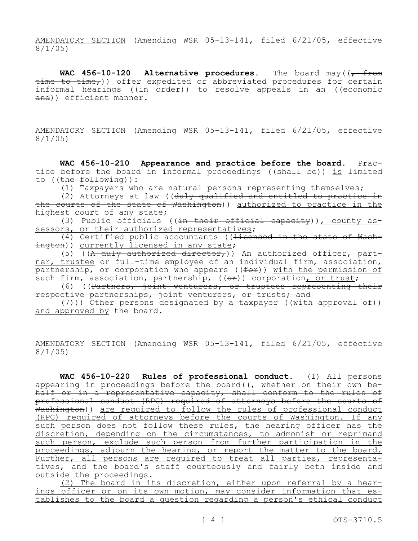AMENDATORY SECTION (Amending WSR 05-13-141, filed 6/21/05, effective 8/1/05)

WAC 456-10-120 Alternative procedures. The board may ( $\sqrt{f/m}$ time to time,)) offer expedited or abbreviated procedures for certain informal hearings ((in order)) to resolve appeals in an ((economie and)) efficient manner.

AMENDATORY SECTION (Amending WSR 05-13-141, filed 6/21/05, effective 8/1/05)

**WAC 456-10-210 Appearance and practice before the board.** Practice before the board in informal proceedings ((shall be)) is limited to ((the following)):

(1) Taxpayers who are natural persons representing themselves;

(2) Attorneys at law ((duly qualified and entitled to practice in the courts of the state of Washington)) authorized to practice in the highest court of any state;

(3) Public officials ((in their official capacity)), county assessors, or their authorized representatives;

(4) Certified public accountants ((<del>licensed in the state of Wash-</del> ington)) currently licensed in any state;

(5) ((A duly authorized director,)) An authorized officer, partner, trustee or full-time employee of an individual firm, association, partnership, or corporation who appears  $((f\rightarrow f))$  with the permission of such firm, association, partnership, ((or)) corporation, or trust;

(6) ((Partners, joint venturers, or trustees representing their respective partnerships, joint venturers, or trusts; and

(7))) Other persons designated by a taxpayer ((with approval of)) and approved by the board.

AMENDATORY SECTION (Amending WSR 05-13-141, filed 6/21/05, effective 8/1/05)

**WAC 456-10-220 Rules of professional conduct.** (1) All persons appearing in proceedings before the board((<del>, whether on their own be-</del> half or in a representative capacity, shall conform to the rules of professional conduct (RPC) required of attorneys before the courts of Washington)) are required to follow the rules of professional conduct (RPC) required of attorneys before the courts of Washington. If any such person does not follow these rules, the hearing officer has the discretion, depending on the circumstances, to admonish or reprimand such person, exclude such person from further participation in the proceedings, adjourn the hearing, or report the matter to the board. Further, all persons are required to treat all parties, representatives, and the board's staff courteously and fairly both inside and outside the proceedings.

(2) The board in its discretion, either upon referral by a hearings officer or on its own motion, may consider information that establishes to the board a question regarding a person's ethical conduct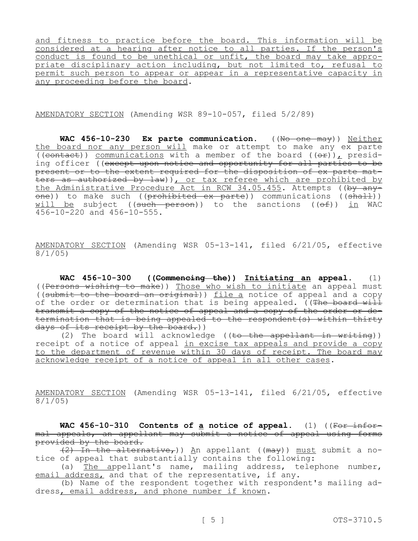and fitness to practice before the board. This information will be considered at a hearing after notice to all parties. If the person's conduct is found to be unethical or unfit, the board may take appropriate disciplinary action including, but not limited to, refusal to permit such person to appear or appear in a representative capacity in any proceeding before the board.

AMENDATORY SECTION (Amending WSR 89-10-057, filed 5/2/89)

WAC 456-10-230 Ex parte communication. ((No one may)) Neither the board nor any person will make or attempt to make any ex parte  $\overline{((\text{contact})})$  communications with a member of the board  $(\overrightarrow{(\text{or})})$ , presiding officer ((except upon notice and opportunity for all parties to be present or to the extent required for the disposition of ex parte matters as authorized by law)), or tax referee which are prohibited by the Administrative Procedure Act in RCW 34.05.455. Attempts ((by any $one()$  to make such ((prohibited ex parte)) communications (( $\overline{shalt})$ ) will be subject ((such person)) to the sanctions ( $(\theta f)$ ) in WAC  $456-10-220$  and  $456-10-555$ .

AMENDATORY SECTION (Amending WSR 05-13-141, filed 6/21/05, effective 8/1/05)

**WAC 456-10-300 ((Commencing the)) Initiating an appeal.** (1) ((Persons wishing to make)) Those who wish to initiate an appeal must ((submit to the board an original)) file a notice of appeal and a copy of the order or determination that is being appealed. ((The board will transmit a copy of the notice of appeal and a copy of the order or determination that is being appealed to the respondent(s) within thirty days of its receipt by the board.))

(2) The board will acknowledge ((to the appellant in writing)) receipt of a notice of appeal in excise tax appeals and provide a copy to the department of revenue within 30 days of receipt. The board may acknowledge receipt of a notice of appeal in all other cases.

AMENDATORY SECTION (Amending WSR 05-13-141, filed 6/21/05, effective 8/1/05)

**WAC 456-10-310 Contents of a notice of appeal.** (1) ((For informal appeals, an appellant may submit a notice of appeal using forms provided by the board.

 $(2)$  In the alternative,)) An appellant ((may)) must submit a notice of appeal that substantially contains the following:

(a) The appellant's name, mailing address, telephone number, email address, and that of the representative, if any.

(b) Name of the respondent together with respondent's mailing address, email address, and phone number if known.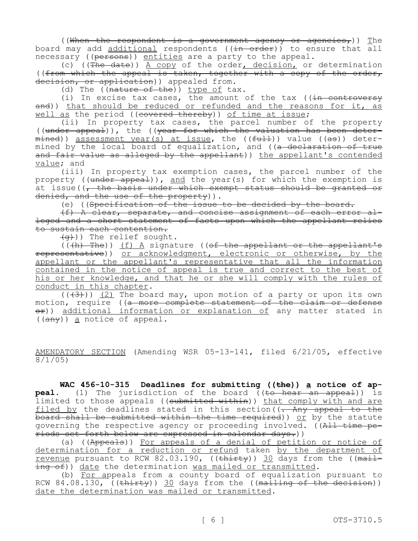((When the respondent is a government agency or agencies,)) The board may add additional respondents ((in order)) to ensure that all necessary ((persons)) entities are a party to the appeal.

(c)  $(\overrightarrow{The date})$ )  $\overrightarrow{A copy}$  of the order, decision, or determination ((from which the appeal is taken, together with a copy of the order, decision, or application) appealed from.

(d) The  $((nature of the)) type of tax.$ 

(i) In excise tax cases, the amount of the tax ( $(in$  controversy and)) that should be reduced or refunded and the reasons for it, as well as the period ((covered thereby)) of time at issue;

(ii) In property tax cases, the parcel number of the property ((under appeal)), the ((year for which the valuation has been deter $mined)$ ) assessment year(s) at issue, the (( $fut+$ )) value (( $a$ s)) determined by the local board of equalization, and ( $(a - dec)$  declaration of true and fair value as alleged by the appellant)) the appellant's contended value; and

(iii) In property tax exemption cases, the parcel number of the property ((under appeal)), and the year(s) for which the exemption is at issue( $\sqrt{ }$  the basis under which exempt status should be granted or denied, and the use of the property)).

(e) ((Specification of the issue to be decided by the board.

(f) A clear, separate, and concise assignment of each error alleged and a short statement of facts upon which the appellant relies to sustain each contention.

 $(q)$ )) The relief sought.

 $(\overline{(h)}$  The)) <u>(f) A</u> signature ((of the appellant or the appellant's representative)) or acknowledgment, electronic or otherwise, by the appellant or the appellant's representative that all the information contained in the notice of appeal is true and correct to the best of his or her knowledge, and that he or she will comply with the rules of conduct in this chapter.

 $((+3))$  (2) The board may, upon motion of a party or upon its own motion, require ((a more complete statement of the claim or defense <del>or</del>)) <u>additional information or explanation of</u> any matter stated in ((any)) a notice of appeal.

AMENDATORY SECTION (Amending WSR 05-13-141, filed 6/21/05, effective 8/1/05)

WAC 456-10-315 Deadlines for submitting ((the)) a notice of ap**peal.** (1) The jurisdiction of the board ((to hear an appeal)) is limited to those appeals ((submitted within)) that comply with and are filed by the deadlines stated in this section( $\left(-\text{ Any } \text{ appeal } \text{ to } \text{ the }\right)$ board shall be submitted within the time required)) or by the statute governing the respective agency or proceeding involved. ((All time periods set forth below are expressed in calendar days.))

(a) ((Appeals)) For appeals of a denial of petition or notice of determination for a reduction or refund taken by the department of revenue pursuant to RCW 82.03.190, ((thirty)) 30 days from the ((mailing of)) date the determination was mailed or transmitted.

(b) For appeals from a county board of equalization pursuant to RCW 84.08.130,  $(\text{thirty})$  30 days from the ((mailing of the decision)) date the determination was mailed or transmitted.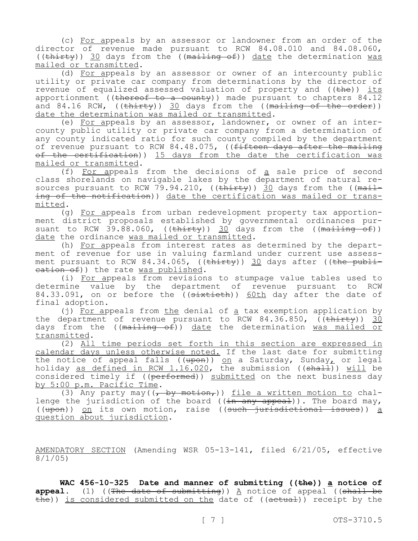(c) For appeals by an assessor or landowner from an order of the director of revenue made pursuant to RCW 84.08.010 and 84.08.060, ((thirty)) 30 days from the ((mailing of)) date the determination was mailed or transmitted.

(d) For appeals by an assessor or owner of an intercounty public utility or private car company from determinations by the director of revenue of equalized assessed valuation of property and ((the)) its apportionment (( $t$ hereof to a county)) made pursuant to chapters 84.12 and 84.16 RCW,  $((\text{thirty}))$  30 days from the ((mailing of the order)) date the determination was mailed or transmitted.

(e) For appeals by an assessor, landowner, or owner of an intercounty public utility or private car company from a determination of any county indicated ratio for such county compiled by the department of revenue pursuant to RCW 84.48.075, ((fifteen days after the mailing of the certification)) 15 days from the date the certification was mailed or transmitted.

(f) For appeals from the decisions of a sale price of second class shorelands on navigable lakes by the department of natural resources pursuant to RCW 79.94.210, ((thirty)) 30 days from the ((mailing of the notification)) date the certification was mailed or transmitted.

(g) For appeals from urban redevelopment property tax apportionment district proposals established by governmental ordinances pursuant to RCW 39.88.060, ((<del>thirty</del>)) <u>30</u> days from the ((<del>mailing of</del>)) date the ordinance was mailed or transmitted.

(h) For appeals from interest rates as determined by the department of revenue for use in valuing farmland under current use assessment pursuant to RCW 84.34.065, ((thirty)) 30 days after ((the publication of)) the rate was published.

(i) For appeals from revisions to stumpage value tables used to determine value by the department of revenue pursuant to RCW 84.33.091, on or before the ((sixtieth)) 60th day after the date of final adoption.

(j) For appeals from the denial of a tax exemption application by the department of revenue pursuant to RCW  $84.36.850$ ,  $($ (thirty)) 30 days from the ((mailing of)) date the determination was mailed or transmitted.

(2) All time periods set forth in this section are expressed in calendar days unless otherwise noted. If the last date for submitting the notice of appeal falls ((<del>upon</del>)) <u>on</u> a Saturday, Sunday, or legal holiday <u>as defined in RCW 1.16.020</u>, the submission ((<del>shall</del>)) <u>will</u> be considered timely if ((performed)) submitted on the next business day by 5:00 p.m. Pacific Time.

(3) Any party may  $((\frac{1}{f} + b\frac{y}{f})$  file a written motion to challenge the jurisdiction of the board ( $(in$  any appeal)). The board may, ((upon)) on its own motion, raise ((such jurisdictional issues)) a question about jurisdiction.

AMENDATORY SECTION (Amending WSR 05-13-141, filed 6/21/05, effective 8/1/05)

**WAC 456-10-325 Date and manner of submitting ((the)) a notice of**  appeal. (1) ((The date of submitting)) A notice of appeal ((shall be  $t - t$ ) is considered submitted on the date of (( $t$  actual)) receipt by the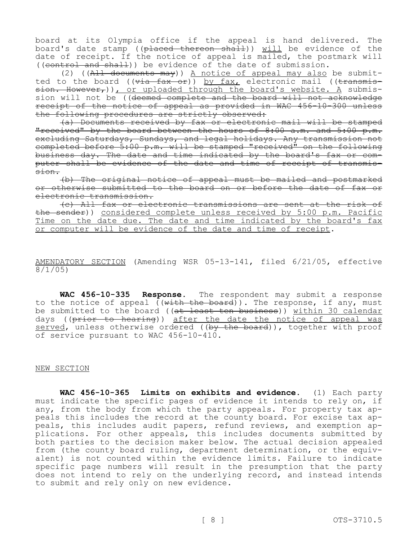board at its Olympia office if the appeal is hand delivered. The board's date stamp ((placed thereon shall)) will be evidence of the date of receipt. If the notice of appeal is mailed, the postmark will ((control and shall)) be evidence of the date of submission.

(2)  $((A<sup>11</sup>$  documents may)) A notice of appeal may also be submitted to the board ((via fax or)) by fax, electronic mail ((transmission. However, ), or uploaded through the board's website. A submission will not be ((deemed complete and the board will not acknowledge receipt of the notice of appeal as provided in WAC 456-10-300 unless the following procedures are strictly observed:

(a) Documents received by fax or electronic mail will be stamped "received" by the board between the hours of  $8:00$  a.m. and  $5:00$  p.m. excluding Saturdays, Sundays, and legal holidays. Any transmission not completed before 5:00 p.m. will be stamped "received" on the following business day. The date and time indicated by the board's fax or computer shall be evidence of the date and time of receipt of transmission.

(b) The original notice of appeal must be mailed and postmarked or otherwise submitted to the board on or before the date of fax or electronic transmission.

(c) All fax or electronic transmissions are sent at the risk of the sender)) considered complete unless received by 5:00 p.m. Pacific Time on the date due. The date and time indicated by the board's fax or computer will be evidence of the date and time of receipt.

AMENDATORY SECTION (Amending WSR 05-13-141, filed 6/21/05, effective 8/1/05)

**WAC 456-10-335 Response.** The respondent may submit a response to the notice of appeal  $($ with the board)). The response, if any, must be submitted to the board ((at least ten business)) within 30 calendar days ((prior to hearing)) after the date the notice of appeal was served, unless otherwise ordered ((by the board)), together with proof of service pursuant to WAC 456-10-410.

## NEW SECTION

**WAC 456-10-365 Limits on exhibits and evidence.** (1) Each party must indicate the specific pages of evidence it intends to rely on, if any, from the body from which the party appeals. For property tax appeals this includes the record at the county board. For excise tax appeals, this includes audit papers, refund reviews, and exemption applications. For other appeals, this includes documents submitted by both parties to the decision maker below. The actual decision appealed from (the county board ruling, department determination, or the equivalent) is not counted within the evidence limits. Failure to indicate specific page numbers will result in the presumption that the party does not intend to rely on the underlying record, and instead intends to submit and rely only on new evidence.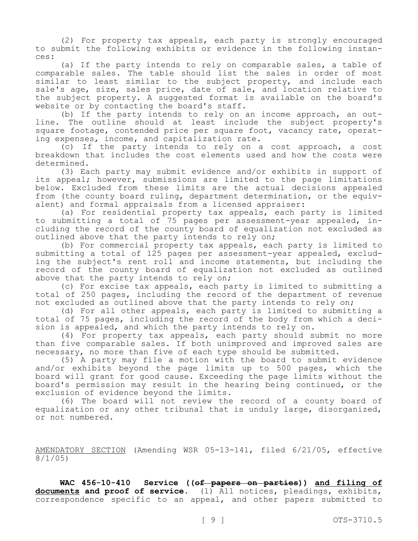(2) For property tax appeals, each party is strongly encouraged to submit the following exhibits or evidence in the following instances:

(a) If the party intends to rely on comparable sales, a table of comparable sales. The table should list the sales in order of most similar to least similar to the subject property, and include each sale's age, size, sales price, date of sale, and location relative to the subject property. A suggested format is available on the board's website or by contacting the board's staff.

(b) If the party intends to rely on an income approach, an outline. The outline should at least include the subject property's square footage, contended price per square foot, vacancy rate, operating expenses, income, and capitalization rate.

(c) If the party intends to rely on a cost approach, a cost breakdown that includes the cost elements used and how the costs were determined.

(3) Each party may submit evidence and/or exhibits in support of its appeal; however, submissions are limited to the page limitations below. Excluded from these limits are the actual decisions appealed from (the county board ruling, department determination, or the equivalent) and formal appraisals from a licensed appraiser:

(a) For residential property tax appeals, each party is limited to submitting a total of 75 pages per assessment-year appealed, including the record of the county board of equalization not excluded as outlined above that the party intends to rely on;

(b) For commercial property tax appeals, each party is limited to submitting a total of 125 pages per assessment-year appealed, excluding the subject's rent roll and income statements, but including the record of the county board of equalization not excluded as outlined above that the party intends to rely on;

(c) For excise tax appeals, each party is limited to submitting a total of 250 pages, including the record of the department of revenue not excluded as outlined above that the party intends to rely on;

(d) For all other appeals, each party is limited to submitting a total of 75 pages, including the record of the body from which a decision is appealed, and which the party intends to rely on.

(4) For property tax appeals, each party should submit no more than five comparable sales. If both unimproved and improved sales are necessary, no more than five of each type should be submitted.

(5) A party may file a motion with the board to submit evidence and/or exhibits beyond the page limits up to 500 pages, which the board will grant for good cause. Exceeding the page limits without the board's permission may result in the hearing being continued, or the exclusion of evidence beyond the limits.

(6) The board will not review the record of a county board of equalization or any other tribunal that is unduly large, disorganized, or not numbered.

AMENDATORY SECTION (Amending WSR 05-13-141, filed 6/21/05, effective 8/1/05)

**WAC 456-10-410 Service ((of papers on parties)) and filing of documents and proof of service.** (1) All notices, pleadings, exhibits, correspondence specific to an appeal, and other papers submitted to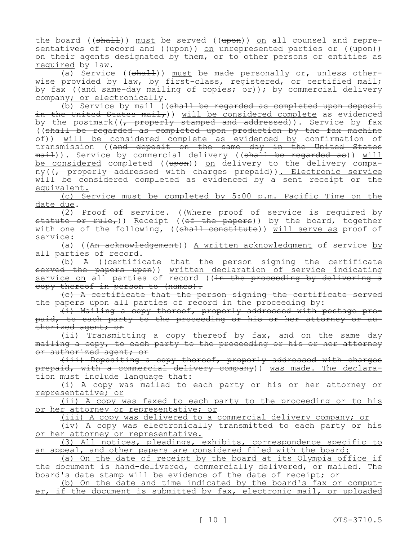the board (( $sha11$ )) must be served (( $upon$ )) on all counsel and representatives of record and  $((\text{upon}))$  on unrepresented parties or  $((\text{upon}))$ on their agents designated by them, or to other persons or entities as required by law.

(a) Service  $((\text{sha1.})$ ) must be made personally or, unless otherwise provided by law, by first-class, registered, or certified mail; by fax ((and same-day mailing of copies; or)); by commercial delivery company; or electronically.

(b) Service by mail ((shall be regarded as completed upon deposit in the United States mail, ) will be considered complete as evidenced by the postmark((, properly stamped and addressed)). Service by fax ((shall be regarded as completed upon production by the fax machine  $ef)$ ) will be considered complete as evidenced by confirmation of transmission ((and deposit on the same day in the United States <del>mail</del>)). Service by commercial delivery ((<del>shall be regarded as</del>)) <u>will</u> be considered completed ((upon)) on delivery to the delivery company((<del>, properly addressed with charges prepaid</del>)). Electronic service will be considered completed as evidenced by a sent receipt or the equivalent.

(c) Service must be completed by 5:00 p.m. Pacific Time on the date due.

 $(2)$  Proof of service. ((Where proof of service is required by statute or rule,)) Receipt ((of the papers)) by the board, together with one of the following, ((shall constitute)) will serve as proof of service:

(a) ((An acknowledgement)) A written acknowledgment of service by all parties of record.

(b) A ((certificate that the person signing the certificate served the papers upon)) written declaration of service indicating service on all parties of record ((<del>in the proceeding by delivering a</del> copy thereof in person to (names).

(c) A certificate that the person signing the certificate served the papers upon all parties of record in the proceeding by:

(i) Mailing a copy thereof, properly addressed with postage prepaid, to each party to the proceeding or his or her attorney or authorized agent; or

(ii) Transmitting a copy thereof by fax, and on the same day mailing a copy, to each party to the proceeding or his or her attorney or authorized agent; or

(iii) Depositing a copy thereof, properly addressed with charges prepaid, with a commercial delivery company)) was made. The declaration must include language that:

(i) A copy was mailed to each party or his or her attorney or representative; or

(ii) A copy was faxed to each party to the proceeding or to his or her attorney or representative; or

(iii) A copy was delivered to a commercial delivery company; or

(iv) A copy was electronically transmitted to each party or his or her attorney or representative.

(3) All notices, pleadings, exhibits, correspondence specific to an appeal, and other papers are considered filed with the board:

(a) On the date of receipt by the board at its Olympia office if the document is hand-delivered, commercially delivered, or mailed. The board's date stamp will be evidence of the date of receipt; or

(b) On the date and time indicated by the board's fax or computer, if the document is submitted by fax, electronic mail, or uploaded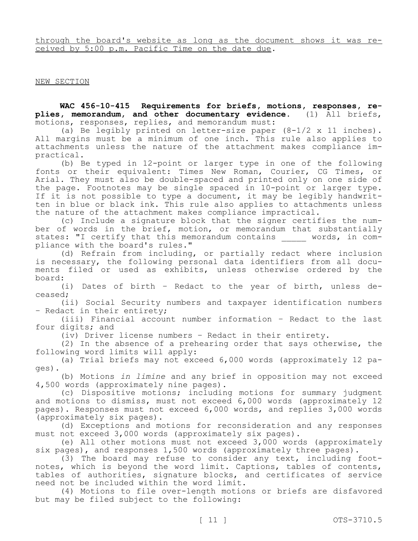through the board's website as long as the document shows it was received by 5:00 p.m. Pacific Time on the date due.

## NEW SECTION

**WAC 456-10-415 Requirements for briefs, motions, responses, replies, memorandum, and other documentary evidence.** (1) All briefs, motions, responses, replies, and memorandum must:

(a) Be legibly printed on letter-size paper (8-1/2 x 11 inches). All margins must be a minimum of one inch. This rule also applies to attachments unless the nature of the attachment makes compliance impractical.

(b) Be typed in 12-point or larger type in one of the following fonts or their equivalent: Times New Roman, Courier, CG Times, or Arial. They must also be double-spaced and printed only on one side of the page. Footnotes may be single spaced in 10-point or larger type. If it is not possible to type a document, it may be legibly handwritten in blue or black ink. This rule also applies to attachments unless the nature of the attachment makes compliance impractical.

(c) Include a signature block that the signer certifies the number of words in the brief, motion, or memorandum that substantially states: "I certify that this memorandum contains words, in compliance with the board's rules."

(d) Refrain from including, or partially redact where inclusion is necessary, the following personal data identifiers from all documents filed or used as exhibits, unless otherwise ordered by the board:

(i) Dates of birth – Redact to the year of birth, unless deceased;

(ii) Social Security numbers and taxpayer identification numbers – Redact in their entirety;

(iii) Financial account number information – Redact to the last four digits; and

(iv) Driver license numbers – Redact in their entirety.

(2) In the absence of a prehearing order that says otherwise, the following word limits will apply:

(a) Trial briefs may not exceed 6,000 words (approximately 12 pages).

(b) Motions *in limine* and any brief in opposition may not exceed 4,500 words (approximately nine pages).

(c) Dispositive motions; including motions for summary judgment and motions to dismiss, must not exceed 6,000 words (approximately 12 pages). Responses must not exceed 6,000 words, and replies 3,000 words (approximately six pages).

(d) Exceptions and motions for reconsideration and any responses must not exceed 3,000 words (approximately six pages).

(e) All other motions must not exceed 3,000 words (approximately six pages), and responses 1,500 words (approximately three pages).

(3) The board may refuse to consider any text, including footnotes, which is beyond the word limit. Captions, tables of contents, tables of authorities, signature blocks, and certificates of service need not be included within the word limit.

(4) Motions to file over-length motions or briefs are disfavored but may be filed subject to the following: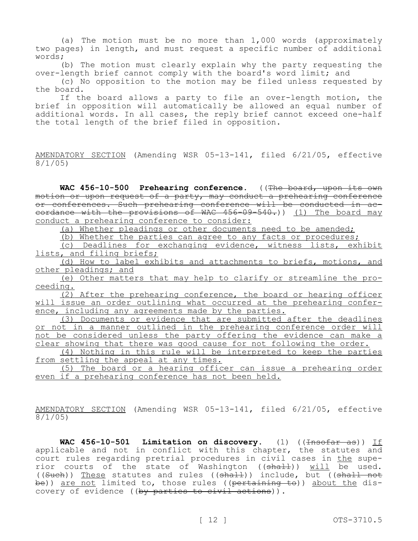(a) The motion must be no more than 1,000 words (approximately two pages) in length, and must request a specific number of additional words;

(b) The motion must clearly explain why the party requesting the over-length brief cannot comply with the board's word limit; and

(c) No opposition to the motion may be filed unless requested by the board.

If the board allows a party to file an over-length motion, the brief in opposition will automatically be allowed an equal number of additional words. In all cases, the reply brief cannot exceed one-half the total length of the brief filed in opposition.

AMENDATORY SECTION (Amending WSR 05-13-141, filed 6/21/05, effective 8/1/05)

WAC 456-10-500 Prehearing conference. ((The board, upon its own motion or upon request of a party, may conduct a prehearing conference or conferences. Such prehearing conference will be conducted in accordance with the provisions of WAC 456-09-540.)) (1) The board may conduct a prehearing conference to consider:

(a) Whether pleadings or other documents need to be amended;

(b) Whether the parties can agree to any facts or procedures;

(c) Deadlines for exchanging evidence, witness lists, exhibit lists, and filing briefs;

(d) How to label exhibits and attachments to briefs, motions, and other pleadings; and

(e) Other matters that may help to clarify or streamline the proceeding.

(2) After the prehearing conference, the board or hearing officer will issue an order outlining what occurred at the prehearing conference, including any agreements made by the parties.

(3) Documents or evidence that are submitted after the deadlines or not in a manner outlined in the prehearing conference order will not be considered unless the party offering the evidence can make a clear showing that there was good cause for not following the order.

(4) Nothing in this rule will be interpreted to keep the parties from settling the appeal at any times.

(5) The board or a hearing officer can issue a prehearing order even if a prehearing conference has not been held.

AMENDATORY SECTION (Amending WSR 05-13-141, filed 6/21/05, effective 8/1/05)

WAC 456-10-501 Limitation on discovery. (1) ((<del>Insofar as</del>)) If applicable and not in conflict with this chapter, the statutes and court rules regarding pretrial procedures in civil cases in the superior courts of the state of Washington ( $(\text{shall})$ ) will be used. ((Such)) These statutes and rules (( $\frac{1}{10}$ ) include, but (( $\frac{1}{10}$ ) include, but be)) <u>are not</u> limited to, those rules ((pertaining to)) about the discovery of evidence ((by parties to civil actions)).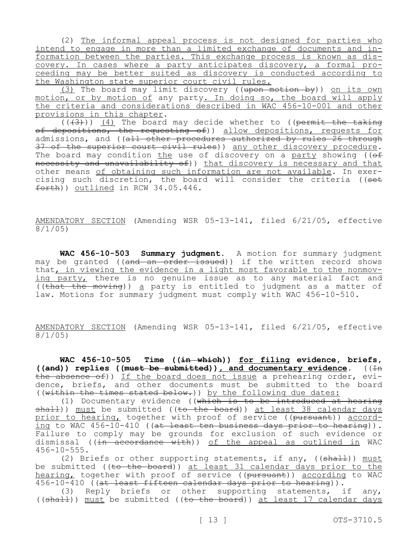(2) The informal appeal process is not designed for parties who intend to engage in more than a limited exchange of documents and information between the parties. This exchange process is known as discovery. In cases where a party anticipates discovery, a formal proceeding may be better suited as discovery is conducted according to the Washington state superior court civil rules.

(3) The board may limit discovery ((<del>upon motion by</del>)) <u>on its own</u> motion, or by motion of any party. In doing so, the board will apply the criteria and considerations described in WAC 456-10-001 and other provisions in this chapter.

 $((+3))$  (4) The board may decide whether to ((permit the taking of depositions, the requesting of)) allow depositions, requests for admissions, and ((all other procedures authorized by rules 26 through 37 of the superior court civil rules)) any other discovery procedure. The board may condition the use of discovery on a party showing ( $\overline{(\overline{ef}}$ necessity and unavailability of)) that discovery is necessary and that other means of obtaining such information are not available. In exercising such discretion, the board will consider the criteria ((set  $forth)$ ) outlined in RCW 34.05.446.

AMENDATORY SECTION (Amending WSR 05-13-141, filed 6/21/05, effective 8/1/05)

**WAC 456-10-503 Summary judgment.** A motion for summary judgment may be granted ((and an order issued)) if the written record shows that, in viewing the evidence in a light most favorable to the nonmoving party, there is no genuine issue as to any material fact and ((that the moving)) a party is entitled to judgment as a matter of law. Motions for summary judgment must comply with WAC 456-10-510.

AMENDATORY SECTION (Amending WSR 05-13-141, filed 6/21/05, effective 8/1/05)

**WAC 456-10-505 Time ((in which)) for filing evidence, briefs,**  ((and)) replies ((must be submitted)), and documentary evidence. ((In the absence of)) If the board does not issue a prehearing order, evidence, briefs, and other documents must be submitted to the board ((within the times stated below.)) by the following due dates:

(1) Documentary evidence ((which is to be introduced at hearing  $shall)$ ) must be submitted ((to the board)) at least 38 calendar days prior to hearing, together with proof of service ((pursuant)) according to WAC  $456 - 10 - 410$  ((at least ten business days prior to hearing)). Failure to comply may be grounds for exclusion of such evidence or dismissal ((in accordance with)) of the appeal as outlined in WAC 456-10-555.

(2) Briefs or other supporting statements, if any, ((shall)) must be submitted ((to the board)) at least 31 calendar days prior to the hearing, together with proof of service ((pursuant)) according to WAC 456-10-410 ((at least fifteen calendar days prior to hearing)).

(3) Reply briefs or other supporting statements, if any, (( $sha11$ )) must be submitted (( $to$  the board)) at least 17 calendar days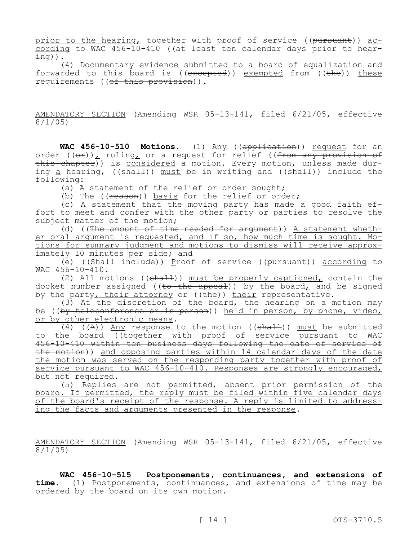prior to the hearing, together with proof of service ((pursuant)) according to WAC 456-10-410 ((at least ten calendar days prior to hear- $\pm$ ng)).

(4) Documentary evidence submitted to a board of equalization and forwarded to this board is  $((excepted))$  exempted from  $((the))$  these requirements ((of this provision)).

AMENDATORY SECTION (Amending WSR 05-13-141, filed 6/21/05, effective 8/1/05)

WAC 456-10-510 Motions. (1) Any ((<del>application</del>)) <u>request</u> for an order ((<del>or</del>)), ruling, or a request for relief ((<del>from any provision of</del> this chapter)) is considered a motion. Every motion, unless made during a hearing, ( $(\text{shall})$ ) must be in writing and ( $(\text{shall})$ ) include the following:

(a) A statement of the relief or order sought;

(b) The ( $(\text{reason})$ ) basis for the relief or order;

(c) A statement that the moving party has made a good faith effort to meet and confer with the other party or parties to resolve the subject matter of the motion;

(d) ((The amount of time needed for argument)) A statement whether oral argument is requested, and if so, how much time is sought. Motions for summary judgment and motions to dismiss will receive approximately 10 minutes per side; and

(e) ((Shall include)) Proof of service ((pursuant)) according to WAC 456-10-410.

(2) All motions ((shall)) must be properly captioned, contain the docket number assigned ((to the appeal)) by the board, and be signed by the party, their attorney or  $((the))$  their representative.

(3) At the discretion of the board, the hearing on  $\frac{a}{b}$  motion may be ((by teleconference or in person)) held in person, by phone, video, or by other electronic means.

(4) ((A)) Any response to the motion (( $\text{shall}$ )) must be submitted to the board ((together with proof of service pursuant to WAC 456-10-410 within ten business days following the date of service of the motion)) and opposing parties within 14 calendar days of the date the motion was served on the responding party together with proof of service pursuant to WAC 456-10-410. Responses are strongly encouraged, but not required.

(5) Replies are not permitted, absent prior permission of the board. If permitted, the reply must be filed within five calendar days of the board's receipt of the response. A reply is limited to addressing the facts and arguments presented in the response.

AMENDATORY SECTION (Amending WSR 05-13-141, filed 6/21/05, effective 8/1/05)

**WAC 456-10-515 Postponements, continuances, and extensions of time.** (1) Postponements, continuances, and extensions of time may be ordered by the board on its own motion.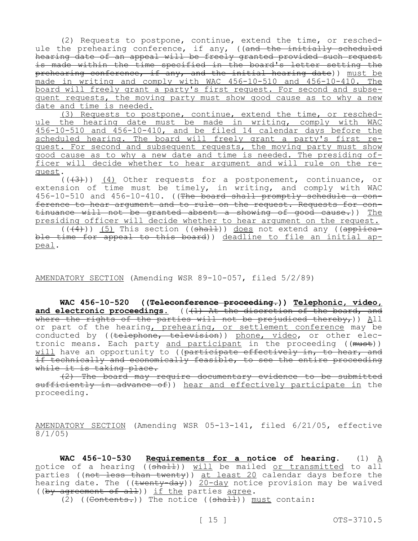(2) Requests to postpone, continue, extend the time, or reschedule the prehearing conference, if any, ((and the initially scheduled hearing date of an appeal will be freely granted provided such request is made within the time specified in the board's letter setting the prehearing conference, if any, and the initial hearing date)) must be made in writing and comply with WAC 456-10-510 and 456-10-410. The board will freely grant a party's first request. For second and subsequent requests, the moving party must show good cause as to why a new date and time is needed.

(3) Requests to postpone, continue, extend the time, or reschedule the hearing date must be made in writing, comply with WAC 456-10-510 and 456-10-410, and be filed 14 calendar days before the scheduled hearing. The board will freely grant a party's first request. For second and subsequent requests, the moving party must show good cause as to why a new date and time is needed. The presiding officer will decide whether to hear argument and will rule on the request.

 $((+3))$   $(4)$  Other requests for a postponement, continuance, or extension of time must be timely, in writing, and comply with WAC 456-10-510 and 456-10-410. ((The board shall promptly schedule a conference to hear argument and to rule on the request. Requests for continuance will not be granted absent a showing of good cause.)) The presiding officer will decide whether to hear argument on the request.  $((\overline{4}))$  (5) This section ((shall)) does not extend any ((applicable time for appeal to this board)) deadline to file an initial appeal.

AMENDATORY SECTION (Amending WSR 89-10-057, filed 5/2/89)

**WAC 456-10-520 ((Teleconference proceeding.)) Telephonic, video,**  and electronic proceedings. (((1) At the discretion of the board, and where the rights of the parties will not be prejudiced thereby, all or part of the hearing, prehearing, or settlement conference may be conducted by ((telephone, television)) phone, video, or other electronic means. Each party and participant in the proceeding ((must)) will have an opportunity to ((participate effectively in, to hear, and if technically and economically feasible, to see the entire proceeding while it is taking place.

(2) The board may require documentary evidence to be submitted sufficiently in advance of)) hear and effectively participate in the proceeding.

AMENDATORY SECTION (Amending WSR 05-13-141, filed 6/21/05, effective 8/1/05)

WAC 456-10-530 Requirements for a notice of hearing. (1) A notice of a hearing ((shall)) will be mailed or transmitted to all parties ((not less than twenty)) at least 20 calendar days before the hearing date. The ((twenty-day))  $\frac{20-\text{day}}{20-\text{day}}$  notice provision may be waived ((by agreement of all)) if the parties agree.

(2) ((Contents.)) The notice (( $shall$ )) must contain: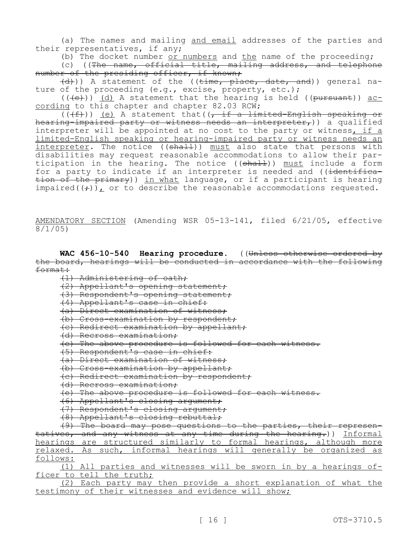(a) The names and mailing and email addresses of the parties and their representatives, if any;

(b) The docket number or numbers and the name of the proceeding; (c) ((The name, official title, mailing address, and telephone number of the presiding officer, if known;

(d))) A statement of the ((time, place, date, and)) general nature of the proceeding (e.g., excise, property, etc.);

 $((+e))$  (d) A statement that the hearing is held ((pursuant)) according to this chapter and chapter 82.03 RCW;

 $((\langle f\rangle))$  (e) A statement that( $\langle f\rangle$  if a limited-English speaking or hearing-impaired party or witness needs an interpreter,)) a qualified interpreter will be appointed at no cost to the party or witness, if a limited-English speaking or hearing-impaired party or witness needs an interpreter. The notice ((<del>shall</del>)) must also state that persons with disabilities may request reasonable accommodations to allow their participation in the hearing. The notice ((shall)) must include a form for a party to indicate if an interpreter is needed and ((identification of the primary)) in what language, or if a participant is hearing impaired( $(f)$ ), or to describe the reasonable accommodations requested.

AMENDATORY SECTION (Amending WSR 05-13-141, filed 6/21/05, effective 8/1/05)

WAC 456-10-540 Hearing procedure. ((Unless otherwise ordered by the board, hearings will be conducted in accordance with the following format:

(1) Administering of oath;

(2) Appellant's opening statement;

(3) Respondent's opening statement;

(4) Appellant's case in chief:

(a) Direct examination of witness;

(b) Cross-examination by respondent;

(c) Redirect examination by appellant;

(d) Recross examination;

(e) The above procedure is followed for each witness.

(5) Respondent's case in chief:

(a) Direct examination of witness;

(b) Cross-examination by appellant;

(c) Redirect examination by respondent;

(d) Recross examination;

(e) The above procedure is followed for each witness.

(6) Appellant's closing argument;

(7) Respondent's closing argument;

(8) Appellant's closing rebuttal;

(9) The board may pose questions to the parties, their representatives, and any witness at any time during the hearing.)) Informal hearings are structured similarly to formal hearings, although more relaxed. As such, informal hearings will generally be organized as follows:

(1) All parties and witnesses will be sworn in by a hearings officer to tell the truth;

(2) Each party may then provide a short explanation of what the testimony of their witnesses and evidence will show;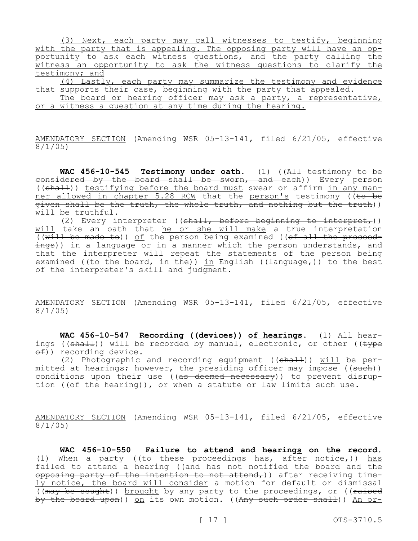(3) Next, each party may call witnesses to testify, beginning with the party that is appealing. The opposing party will have an opportunity to ask each witness questions, and the party calling the witness an opportunity to ask the witness questions to clarify the testimony; and

(4) Lastly, each party may summarize the testimony and evidence that supports their case, beginning with the party that appealed.

The board or hearing officer may ask a party, a representative, or a witness a question at any time during the hearing.

AMENDATORY SECTION (Amending WSR 05-13-141, filed 6/21/05, effective 8/1/05)

WAC 456-10-545 Testimony under oath. (1) ((<del>All testimony to be</del> considered by the board shall be sworn, and each)) Every person ((shall)) testifying before the board must swear or affirm in any manner allowed in chapter 5.28 RCW that the person's testimony ((to be given shall be the truth, the whole truth, and nothing but the truth)) will be truthful.

(2) Every interpreter (( $shall,$  before beginning to interpret,)) will take an oath that he or she will make a true interpretation (( $with$  be made to)) of the person being examined (( $of$  all the proceedings)) in a language or in a manner which the person understands, and that the interpreter will repeat the statements of the person being examined ((to the board, in the)) in English (( $\frac{1}{\text{angular}},$ )) to the best of the interpreter's skill and judgment.

AMENDATORY SECTION (Amending WSR 05-13-141, filed 6/21/05, effective 8/1/05)

**WAC 456-10-547 Recording ((devices)) of hearings.** (1) All hearings (( $\frac{\text{shall}}{\text{type}}$ )) will be recorded by manual, electronic, or other (( $\frac{\text{type}}{\text{type}}$ of)) recording device.

(2) Photographic and recording equipment ((shall)) will be permitted at hearings; however, the presiding officer may impose ((such)) conditions upon their use ((as deemed necessary)) to prevent disruption (( $\theta$ f the hearing)), or when a statute or law limits such use.

AMENDATORY SECTION (Amending WSR 05-13-141, filed 6/21/05, effective 8/1/05)

**WAC 456-10-550 Failure to attend and hearings on the record.**  (1) When a party ((to these proceedings has, after notice,)) has failed to attend a hearing ((and has not notified the board and the opposing party of the intention to not attend,)) after receiving timely notice, the board will consider a motion for default or dismissal ((may be sought)) brought by any party to the proceedings, or ((raised by the board upon)) on its own motion. ((Any such order shall)) An or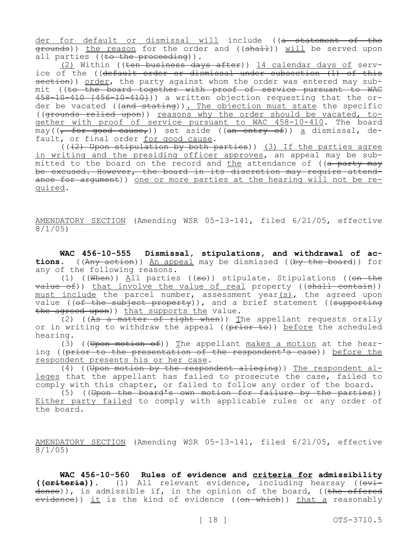der for default or dismissal will include ((a statement of the etounds)) the reason for the order and ((shall)) will be served upon all parties  $((to the *proceeding*)).$ 

(2) Within ((ten business days after)) 14 calendar days of service of the ((default order or dismissal under subsection (1) of this section)) order, the party against whom the order was entered may submit ((to the board together with proof of service pursuant to WAC 458-10-410 [456-10-410])) a written objection requesting that the order be vacated ((and stating)). The objection must state the specific ((grounds relied upon)) reasons why the order should be vacated, together with proof of service pursuant to WAC 458-10-410. The board  $may$  ( $\frac{1}{1}$  for good cause,)) set aside ((an entry of)) a dismissal, default, or final order for good cause.

 $((+2)$  Upon stipulation by both parties)) (3) If the parties agree in writing and the presiding officer approves, an appeal may be submitted to the board on the record and the attendance of ((a party may be excused. However, the board in its discretion may require attendance for argument)) one or more parties at the hearing will not be required.

AMENDATORY SECTION (Amending WSR 05-13-141, filed 6/21/05, effective 8/1/05)

**WAC 456-10-555 Dismissal, stipulations, and withdrawal of actions.** ((Any action)) An appeal may be dismissed ((by the board)) for any of the following reasons.

(1) ((When)) All parties ((so)) stipulate. Stipulations ((on the  $\overline{value\ of})$ ) that involve the value of real property ((shall contain)) must include the parcel number, assessment year(s), the agreed upon value ((of the subject property)), and a brief statement ((supporting the agreed upon)) that supports the value.

 $(2)$  ((As a matter of right when)) The appellant requests orally or in writing to withdraw the appeal ( $(\overline{prior\ to})$ ) before the scheduled hearing.

(3) ((Upon motion of)) The appellant makes a motion at the hearing ((prior to the presentation of the respondent's case)) before the respondent presents his or her case.

(4) ((Upon motion by the respondent alleging)) The respondent alleges that the appellant has failed to prosecute the case, failed to comply with this chapter, or failed to follow any order of the board.

(5) ((Upon the board's own motion for failure by the parties)) Either party failed to comply with applicable rules or any order of the board.

AMENDATORY SECTION (Amending WSR 05-13-141, filed 6/21/05, effective 8/1/05)

**WAC 456-10-560 Rules of evidence and criteria for admissibility ((criteria)).** (1) All relevant evidence, including hearsay ((evidence)), is admissible if, in the opinion of the board, ((the offered evidence)) it is the kind of evidence ((on which)) that a reasonably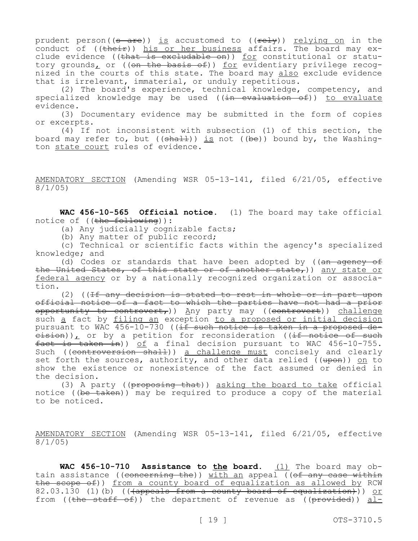prudent person( $(s$  are)) is accustomed to ( $(\text{refy})$ ) relying on in the conduct of ((their)) his or her business affairs. The board may exclude evidence ((<del>that is excludable on</del>)) <u>for</u> constitutional or statutory grounds, or ((<del>on the basis of</del>)) <u>for</u> evidentiary privilege recognized in the courts of this state. The board may also exclude evidence that is irrelevant, immaterial, or unduly repetitious.

(2) The board's experience, technical knowledge, competency, and specialized knowledge may be used ((in evaluation of)) to evaluate evidence.

(3) Documentary evidence may be submitted in the form of copies or excerpts.

(4) If not inconsistent with subsection (1) of this section, the board may refer to, but  $((shall))$  is not  $((be))$  bound by, the Washington state court rules of evidence.

AMENDATORY SECTION (Amending WSR 05-13-141, filed 6/21/05, effective 8/1/05)

**WAC 456-10-565 Official notice.** (1) The board may take official notice of ((the following)):

(a) Any judicially cognizable facts;

(b) Any matter of public record;

(c) Technical or scientific facts within the agency's specialized knowledge; and

(d) Codes or standards that have been adopted by ( $\frac{a_n}{a_n}$  agency of the United States, of this state or of another state,)) any state or federal agency or by a nationally recognized organization or association.

(2) ((If any decision is stated to rest in whole or in part upon official notice of a fact to which the parties have not had a prior opportunity to controvert, )) Any party may ((controvert)) challenge such a fact by filing an exception to a proposed or initial decision pursuant to WAC 456-10-730 ((if such notice is taken in a proposed de- $\text{eisen}$ )), or by a petition for reconsideration ((if notice of such fact is taken in)) of a final decision pursuant to WAC 456-10-755. Such ((controversion shall)) a challenge must concisely and clearly set forth the sources, authority, and other data relied ((upon)) on to show the existence or nonexistence of the fact assumed or denied in the decision.

(3) A party ( $(\text{preposing that})$ ) asking the board to take official notice ((be taken)) may be required to produce a copy of the material to be noticed.

AMENDATORY SECTION (Amending WSR 05-13-141, filed 6/21/05, effective 8/1/05)

**WAC 456-10-710 Assistance to the board.** (1) The board may obtain assistance ((concerning the)) with an appeal (( $of$  any case within the scope of)) from a county board of equalization as allowed by RCW 82.03.130 (1)(b) (((appeals from a county board of equalization))) or from ((the staff of)) the department of revenue as (( $\beta$ rovided)) al-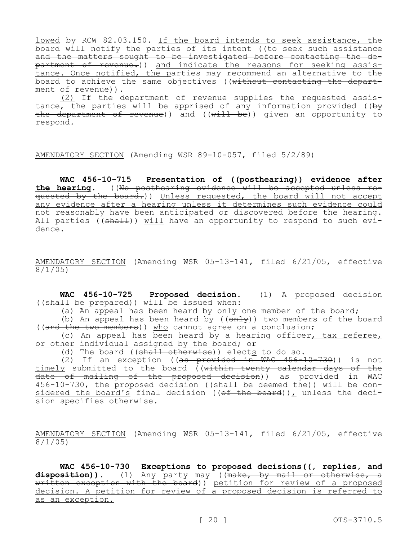lowed by RCW 82.03.150. If the board intends to seek assistance, the board will notify the parties of its intent ( $\overline{16}$  seek such assistance and the matters sought to be investigated before contacting the department of revenue.)) and indicate the reasons for seeking assistance. Once notified, the parties may recommend an alternative to the board to achieve the same objectives ((without contacting the department of revenue)).

(2) If the department of revenue supplies the requested assistance, the parties will be apprised of any information provided ((by the department of revenue)) and ((will be)) given an opportunity to respond.

AMENDATORY SECTION (Amending WSR 89-10-057, filed 5/2/89)

**WAC 456-10-715 Presentation of ((posthearing)) evidence after the hearing.** ((No posthearing evidence will be accepted unless requested by the board.)) Unless requested, the board will not accept any evidence after a hearing unless it determines such evidence could not reasonably have been anticipated or discovered before the hearing. All parties  $((shath))$  will have an opportunity to respond to such evidence.

AMENDATORY SECTION (Amending WSR 05-13-141, filed 6/21/05, effective 8/1/05)

**WAC 456-10-725 Proposed decision.** (1) A proposed decision ((shall be prepared)) will be issued when:

(a) An appeal has been heard by only one member of the board;

(b) An appeal has been heard by  $((\overline{on1y}))$  two members of the board ((and the two members)) who cannot agree on a conclusion;

(c) An appeal has been heard by a hearing officer, tax referee, or other individual assigned by the board; or

(d) The board (( $\frac{1}{3}$  otherwise)) elects to do so.

(2) If an exception ((as provided in WAC 456-10-730)) is not timely submitted to the board ((within twenty calendar days of the date of mailing of the proposed decision)) as provided in WAC 456-10-730, the proposed decision ((shall be deemed the)) will be considered the board's final decision (( $ef$  the board)), unless the decision specifies otherwise.

AMENDATORY SECTION (Amending WSR 05-13-141, filed 6/21/05, effective 8/1/05)

WAC 456-10-730 Exceptions to proposed decisions ( $\sqrt{ }$  replies, and disposition)). (1) Any party may ((make, by mail or otherwise, a written exception with the board)) petition for review of a proposed decision. A petition for review of a proposed decision is referred to as an exception.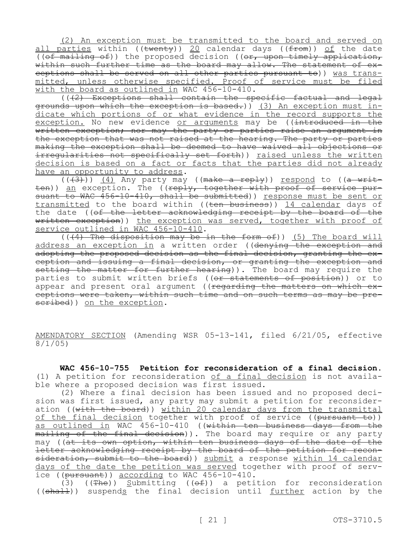(2) An exception must be transmitted to the board and served on all parties within (( $\overline{t}$ wenty)) 20 calendar days (( $\overline{t}$ rom)) of the date (( $\theta$ f mailing  $\theta$ f)) the proposed decision (( $\theta$ r, upon timely application, within such further time as the board may allow. The statement of exceptions shall be served on all other parties pursuant to)) was transmitted, unless otherwise specified. Proof of service must be filed with the board as outlined in WAC 456-10-410.

(((2) Exceptions shall contain the specific factual and legal grounds upon which the exception is based.)) (3) An exception must indicate which portions of or what evidence in the record supports the exception. No new evidence or arguments may be ((introduced in the written exception; nor may the party or parties raise an argument in the exception that was not raised at the hearing. The party or parties making the exception shall be deemed to have waived all objections or irregularities not specifically set forth)) raised unless the written decision is based on a fact or facts that the parties did not already have an opportunity to address.

 $((+3)^{2})$ ) (4) Any party may ((make a reply)) respond to ((a written)) an exception. The ((reply, together with proof of service pursuant to WAC 456-10-410, shall be submitted)) response must be sent or transmitted to the board within ((ten business)) 14 calendar days of the date ((of the letter acknowledging receipt by the board of the written exception)) the exception was served, together with proof of service outlined in WAC 456-10-410.

 $((4)$  The disposition may be in the form of)) (5) The board will address an exception in a written order ((denying the exception and adopting the proposed decision as the final decision, granting the exception and issuing a final decision, or granting the exception and setting the matter for further hearing)). The board may require the parties to submit written briefs ((or statements of position)) or to appear and present oral argument ((regarding the matters on which exceptions were taken, within such time and on such terms as may be prescribed)) on the exception.

AMENDATORY SECTION (Amending WSR 05-13-141, filed 6/21/05, effective 8/1/05)

**WAC 456-10-755 Petition for reconsideration of a final decision.**  (1) A petition for reconsideration of a final decision is not available where a proposed decision was first issued.

(2) Where a final decision has been issued and no proposed decision was first issued, any party may submit a petition for reconsideration ((with the board)) within 20 calendar days from the transmittal of the final decision together with proof of service ((pursuant to)) as outlined in WAC 456-10-410 ((within ten business days from the mailing of the final decision)). The board may require or any party may ((at its own option, within ten business days of the date of the letter acknowledging receipt by the board of the petition for reconsideration, submit to the board)) submit a response within 14 calendar days of the date the petition was served together with proof of service ((pursuant)) according to WAC 456-10-410.

(3) ((The)) Submitting (( $\Theta$ f)) a petition for reconsideration ((shall)) suspends the final decision until further action by the